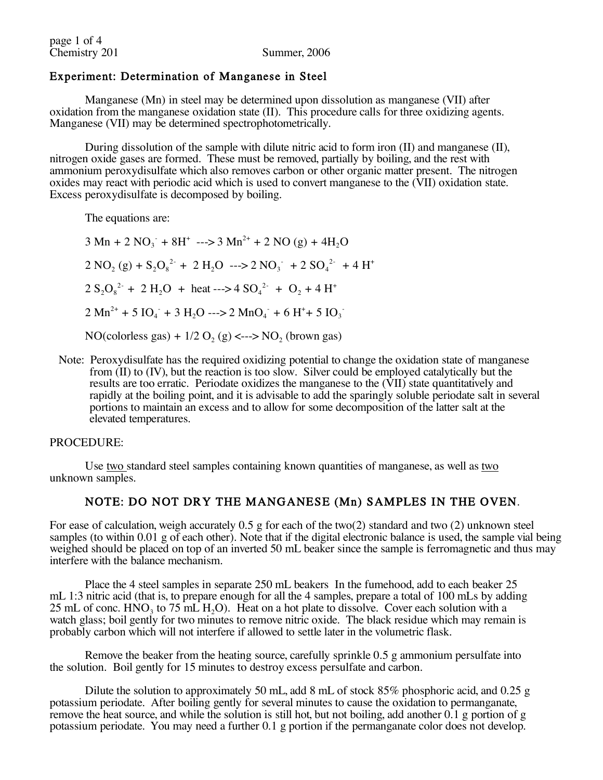# Experiment: Determination of Manganese in Steel

Manganese (Mn) in steel may be determined upon dissolution as manganese (VII) after oxidation from the manganese oxidation state (II). This procedure calls for three oxidizing agents. Manganese (VII) may be determined spectrophotometrically.

During dissolution of the sample with dilute nitric acid to form iron (II) and manganese (II), nitrogen oxide gases are formed. These must be removed, partially by boiling, and the rest with ammonium peroxydisulfate which also removes carbon or other organic matter present. The nitrogen oxides may react with periodic acid which is used to convert manganese to the (VII) oxidation state. Excess peroxydisulfate is decomposed by boiling.

The equations are:

- $3 \text{ Mn} + 2 \text{ NO}_3 + 8\text{H}^+ \text{---} > 3 \text{ Mn}^{2+} + 2 \text{ NO} (g) + 4\text{H}_2\text{O}$  $2 \text{ NO}_2(g) + S_2\text{O}_8^{2} + 2 \text{ H}_2\text{O} \longrightarrow 2 \text{ NO}_3 + 2 \text{ SO}_4^{2} + 4 \text{ H}^+$  $2 S_2 O_8^{2}$  + 2 H<sub>2</sub>O + heat ---> 4 SO<sub>4</sub><sup>2</sup> + O<sub>2</sub> + 4 H<sup>+</sup>  $2 \text{ Mn}^{2+} + 5 \text{ IO}_4 + 3 \text{ H}_2\text{O} \longrightarrow 2 \text{ MnO}_4 + 6 \text{ H}^+ + 5 \text{ IO}_3$  $NO(colorless gas) + 1/2 O<sub>2</sub>(g) \leftarrow~>> NO<sub>2</sub> (brown gas)$
- Note: Peroxydisulfate has the required oxidizing potential to change the oxidation state of manganese from (II) to (IV), but the reaction is too slow. Silver could be employed catalytically but the results are too erratic. Periodate oxidizes the manganese to the (VII) state quantitatively and rapidly at the boiling point, and it is advisable to add the sparingly soluble periodate salt in several portions to maintain an excess and to allow for some decomposition of the latter salt at the elevated temperatures.

#### PROCEDURE:

Use two standard steel samples containing known quantities of manganese, as well as two unknown samples.

# NOTE: DO NOT DRY THE MANGANESE (Mn) SAMPLES IN THE OVEN.

For ease of calculation, weigh accurately 0.5 g for each of the two(2) standard and two (2) unknown steel samples (to within 0.01 g of each other). Note that if the digital electronic balance is used, the sample vial being weighed should be placed on top of an inverted 50 mL beaker since the sample is ferromagnetic and thus may interfere with the balance mechanism.

Place the 4 steel samples in separate 250 mL beakers In the fumehood, add to each beaker 25 mL 1:3 nitric acid (that is, to prepare enough for all the 4 samples, prepare a total of 100 mLs by adding 25 mL of conc.  $HNO_3$  to 75 mL  $H_2O$ ). Heat on a hot plate to dissolve. Cover each solution with a watch glass; boil gently for two minutes to remove nitric oxide. The black residue which may remain is probably carbon which will not interfere if allowed to settle later in the volumetric flask.

Remove the beaker from the heating source, carefully sprinkle 0.5 g ammonium persulfate into the solution. Boil gently for 15 minutes to destroy excess persulfate and carbon.

Dilute the solution to approximately 50 mL, add 8 mL of stock 85% phosphoric acid, and 0.25 g potassium periodate. After boiling gently for several minutes to cause the oxidation to permanganate, remove the heat source, and while the solution is still hot, but not boiling, add another  $0.1$  g portion of g potassium periodate. You may need a further 0.1 g portion if the permanganate color does not develop.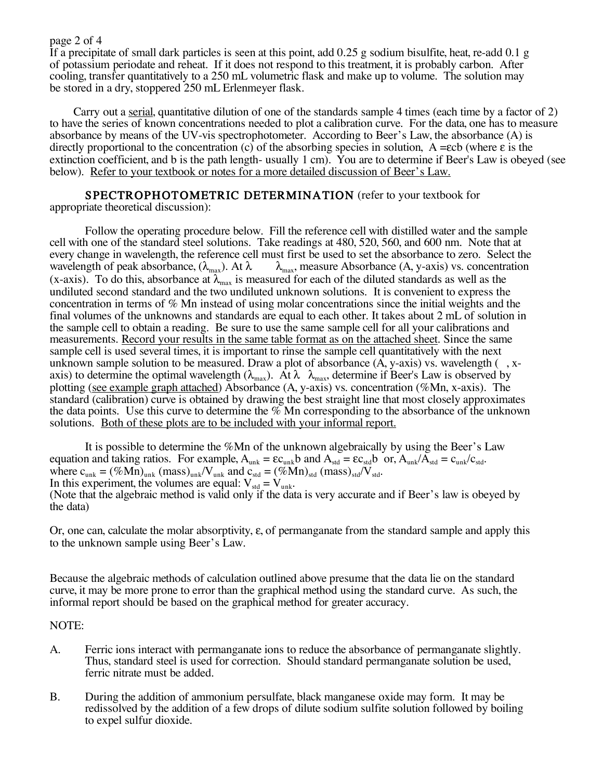#### page 2 of 4

If a precipitate of small dark particles is seen at this point, add 0.25 g sodium bisulfite, heat, re-add 0.1 g of potassium periodate and reheat. If it does not respond to this treatment, it is probably carbon. After cooling, transfer quantitatively to a 250 mL volumetric flask and make up to volume. The solution may be stored in a dry, stoppered 250 mL Erlenmeyer flask.

Carry out a serial, quantitative dilution of one of the standards sample 4 times (each time by a factor of 2) to have the series of known concentrations needed to plot a calibration curve. For the data, one has to measure absorbance by means of the UV-vis spectrophotometer. According to Beer's Law, the absorbance (A) is directly proportional to the concentration (c) of the absorbing species in solution,  $A = \epsilon cb$  (where  $\epsilon$  is the extinction coefficient, and b is the path length- usually 1 cm). You are to determine if Beer's Law is obeyed (see below). Refer to your textbook or notes for a more detailed discussion of Beer's Law.

# SPECTROPHOTOMETRIC DETERMINATION (refer to your textbook for

appropriate theoretical discussion):

Follow the operating procedure below. Fill the reference cell with distilled water and the sample cell with one of the standard steel solutions. Take readings at 480, 520, 560, and 600 nm. Note that at every change in wavelength, the reference cell must first be used to set the absorbance to zero. Select the wavelength of peak absorbance,  $(\lambda_{\text{max}})$ . At  $\lambda$   $\lambda_{\text{max}}$ , measure Absorbance (A, y-axis) vs. concentration  $\lambda_{\text{max}}$ , measure Absorbance (A, y-axis) vs. concentration (x-axis). To do this, absorbance at  $\lambda_{\text{max}}$  is measured for each of the diluted standards as well as the undiluted second standard and the two undiluted unknown solutions. It is convenient to express the concentration in terms of % Mn instead of using molar concentrations since the initial weights and the final volumes of the unknowns and standards are equal to each other. It takes about 2 mL of solution in the sample cell to obtain a reading. Be sure to use the same sample cell for all your calibrations and measurements. Record your results in the same table format as on the attached sheet. Since the same sample cell is used several times, it is important to rinse the sample cell quantitatively with the next unknown sample solution to be measured. Draw a plot of absorbance  $(A, y-axis)$  vs. wavelength  $(, x$ axis) to determine the optimal wavelength ( $\lambda_{\text{max}}$ ). At  $\lambda$   $\lambda_{\text{max}}$ , determine if Beer's Law is observed by plotting (see example graph attached) Absorbance (A, y-axis) vs. concentration (%Mn, x-axis). The standard (calibration) curve is obtained by drawing the best straight line that most closely approximates the data points. Use this curve to determine the  $\%$  Mn corresponding to the absorbance of the unknown solutions. Both of these plots are to be included with your informal report.

It is possible to determine the %Mn of the unknown algebraically by using the Beer's Law equation and taking ratios. For example,  $A_{unk} = \varepsilon c_{unk}b$  and  $A_{std} = \varepsilon c_{std}b$  or,  $A_{unk}/A_{std} = c_{unk}/c_{std}$ . where  $c_{unk} = (\%Mn)_{unk}$  (mass)<sub>unk</sub>/V<sub>unk</sub> and  $c_{std} = (\%Mn)_{std}$  (mass)<sub>std</sub>/V<sub>std</sub>. In this experiment, the volumes are equal:  $V_{std} = V_{unk}$ . (Note that the algebraic method is valid only if the data is very accurate and if Beer's law is obeyed by the data)

Or, one can, calculate the molar absorptivity, ε, of permanganate from the standard sample and apply this to the unknown sample using Beer's Law.

Because the algebraic methods of calculation outlined above presume that the data lie on the standard curve, it may be more prone to error than the graphical method using the standard curve. As such, the informal report should be based on the graphical method for greater accuracy.

# NOTE:

- A. Ferric ions interact with permanganate ions to reduce the absorbance of permanganate slightly. Thus, standard steel is used for correction. Should standard permanganate solution be used, ferric nitrate must be added.
- B. During the addition of ammonium persulfate, black manganese oxide may form. It may be redissolved by the addition of a few drops of dilute sodium sulfite solution followed by boiling to expel sulfur dioxide.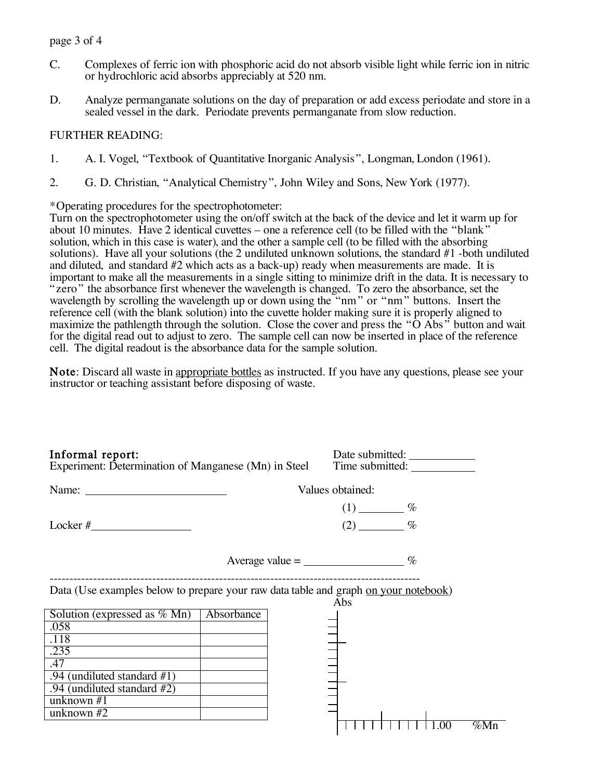#### page 3 of 4

- C. Complexes of ferric ion with phosphoric acid do not absorb visible light while ferric ion in nitric or hydrochloric acid absorbs appreciably at 520 nm.
- D. Analyze permanganate solutions on the day of preparation or add excess periodate and store in a sealed vessel in the dark. Periodate prevents permanganate from slow reduction.

### FURTHER READING:

- 1. A. I. Vogel, "Textbook of Quantitative Inorganic Analysis ", Longman, London (1961).
- 2. G. D. Christian, "Analytical Chemistry", John Wiley and Sons, New York (1977).

\*Operating procedures for the spectrophotometer:

Turn on the spectrophotometer using the on/off switch at the back of the device and let it warm up for about 10 minutes. Have 2 identical cuvettes – one a reference cell (to be filled with the "blank" solution, which in this case is water), and the other a sample cell (to be filled with the absorbing solutions). Have all your solutions (the 2 undiluted unknown solutions, the standard #1 -both undiluted and diluted, and standard #2 which acts as a back-up) ready when measurements are made. It is important to make all the measurements in a single sitting to minimize drift in the data. It is necessary to "zero" the absorbance first whenever the wavelength is changed. To zero the absorbance, set the wavelength by scrolling the wavelength up or down using the "nm" or "nm" buttons. Insert the reference cell (with the blank solution) into the cuvette holder making sure it is properly aligned to maximize the pathlength through the solution. Close the cover and press the " $\ddot{O}$  Abs" button and wait for the digital read out to adjust to zero. The sample cell can now be inserted in place of the reference cell. The digital readout is the absorbance data for the sample solution.

Note: Discard all waste in appropriate bottles as instructed. If you have any questions, please see your instructor or teaching assistant before disposing of waste.

| Informal report:<br>Experiment: Determination of Manganese (Mn) in Steel                                                                                                                                                                                                                                                                                                                                      |                  |  | Date submitted:<br>Time submitted: |      |         |
|---------------------------------------------------------------------------------------------------------------------------------------------------------------------------------------------------------------------------------------------------------------------------------------------------------------------------------------------------------------------------------------------------------------|------------------|--|------------------------------------|------|---------|
| Name: $\frac{1}{\sqrt{1-\frac{1}{2}}\sqrt{1-\frac{1}{2}}\sqrt{1-\frac{1}{2}}\sqrt{1-\frac{1}{2}}\sqrt{1-\frac{1}{2}}\sqrt{1-\frac{1}{2}}\sqrt{1-\frac{1}{2}}\sqrt{1-\frac{1}{2}}\sqrt{1-\frac{1}{2}}\sqrt{1-\frac{1}{2}}\sqrt{1-\frac{1}{2}}\sqrt{1-\frac{1}{2}}\sqrt{1-\frac{1}{2}}\sqrt{1-\frac{1}{2}}\sqrt{1-\frac{1}{2}}\sqrt{1-\frac{1}{2}}\sqrt{1-\frac{1}{2}}\sqrt{1-\frac{1}{2}}\sqrt{1-\frac{1}{2}}$ | Values obtained: |  |                                    |      |         |
|                                                                                                                                                                                                                                                                                                                                                                                                               |                  |  | $(1)$ $\frac{\%}{\%}$              |      |         |
|                                                                                                                                                                                                                                                                                                                                                                                                               |                  |  | $(2)$ %                            |      |         |
| Average value $=$ _____________________ %                                                                                                                                                                                                                                                                                                                                                                     |                  |  |                                    |      |         |
| Data (Use examples below to prepare your raw data table and graph on your notebook)                                                                                                                                                                                                                                                                                                                           |                  |  | Abs                                |      |         |
| Solution (expressed as $\%$ Mn)                                                                                                                                                                                                                                                                                                                                                                               | Absorbance       |  |                                    |      |         |
| .058                                                                                                                                                                                                                                                                                                                                                                                                          |                  |  |                                    |      |         |
| .118                                                                                                                                                                                                                                                                                                                                                                                                          |                  |  |                                    |      |         |
| .235                                                                                                                                                                                                                                                                                                                                                                                                          |                  |  |                                    |      |         |
| .47                                                                                                                                                                                                                                                                                                                                                                                                           |                  |  |                                    |      |         |
| .94 (undiluted standard #1)                                                                                                                                                                                                                                                                                                                                                                                   |                  |  |                                    |      |         |
| .94 (undiluted standard #2)                                                                                                                                                                                                                                                                                                                                                                                   |                  |  |                                    |      |         |
| unknown $#1$                                                                                                                                                                                                                                                                                                                                                                                                  |                  |  |                                    |      |         |
| unknown $#2$                                                                                                                                                                                                                                                                                                                                                                                                  |                  |  |                                    |      |         |
|                                                                                                                                                                                                                                                                                                                                                                                                               |                  |  |                                    | 1.00 | $\%$ Mn |